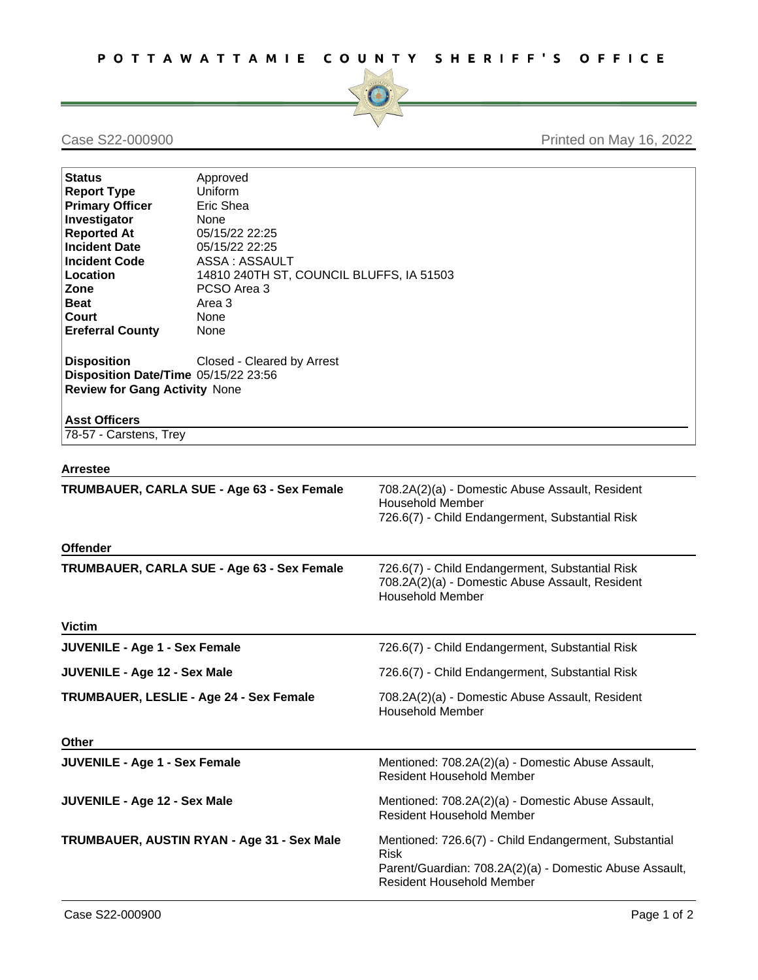

## Case S22-000900 Printed on May 16, 2022

| <b>Status</b><br><b>Report Type</b><br><b>Primary Officer</b><br>Investigator<br><b>Reported At</b><br><b>Incident Date</b><br><b>Incident Code</b><br><b>Location</b><br>Zone<br><b>Beat</b><br>Court<br><b>Ereferral County</b><br><b>Disposition</b><br>Disposition Date/Time 05/15/22 23:56<br><b>Review for Gang Activity None</b> | Approved<br>Uniform<br>Eric Shea<br>None<br>05/15/22 22:25<br>05/15/22 22:25<br>ASSA: ASSAULT<br>14810 240TH ST, COUNCIL BLUFFS, IA 51503<br>PCSO Area 3<br>Area 3<br>None<br>None<br>Closed - Cleared by Arrest |                                                                                                                                                                     |
|-----------------------------------------------------------------------------------------------------------------------------------------------------------------------------------------------------------------------------------------------------------------------------------------------------------------------------------------|------------------------------------------------------------------------------------------------------------------------------------------------------------------------------------------------------------------|---------------------------------------------------------------------------------------------------------------------------------------------------------------------|
| <b>Asst Officers</b>                                                                                                                                                                                                                                                                                                                    |                                                                                                                                                                                                                  |                                                                                                                                                                     |
| 78-57 - Carstens, Trey                                                                                                                                                                                                                                                                                                                  |                                                                                                                                                                                                                  |                                                                                                                                                                     |
| Arrestee                                                                                                                                                                                                                                                                                                                                |                                                                                                                                                                                                                  |                                                                                                                                                                     |
| TRUMBAUER, CARLA SUE - Age 63 - Sex Female                                                                                                                                                                                                                                                                                              |                                                                                                                                                                                                                  | 708.2A(2)(a) - Domestic Abuse Assault, Resident<br><b>Household Member</b><br>726.6(7) - Child Endangerment, Substantial Risk                                       |
| <b>Offender</b>                                                                                                                                                                                                                                                                                                                         |                                                                                                                                                                                                                  |                                                                                                                                                                     |
| TRUMBAUER, CARLA SUE - Age 63 - Sex Female                                                                                                                                                                                                                                                                                              |                                                                                                                                                                                                                  | 726.6(7) - Child Endangerment, Substantial Risk<br>708.2A(2)(a) - Domestic Abuse Assault, Resident<br><b>Household Member</b>                                       |
| <b>Victim</b>                                                                                                                                                                                                                                                                                                                           |                                                                                                                                                                                                                  |                                                                                                                                                                     |
| <b>JUVENILE - Age 1 - Sex Female</b>                                                                                                                                                                                                                                                                                                    |                                                                                                                                                                                                                  | 726.6(7) - Child Endangerment, Substantial Risk                                                                                                                     |
| <b>JUVENILE - Age 12 - Sex Male</b>                                                                                                                                                                                                                                                                                                     |                                                                                                                                                                                                                  | 726.6(7) - Child Endangerment, Substantial Risk                                                                                                                     |
| TRUMBAUER, LESLIE - Age 24 - Sex Female                                                                                                                                                                                                                                                                                                 |                                                                                                                                                                                                                  | 708.2A(2)(a) - Domestic Abuse Assault, Resident<br><b>Household Member</b>                                                                                          |
| <b>Other</b>                                                                                                                                                                                                                                                                                                                            |                                                                                                                                                                                                                  |                                                                                                                                                                     |
| <b>JUVENILE - Age 1 - Sex Female</b>                                                                                                                                                                                                                                                                                                    |                                                                                                                                                                                                                  | Mentioned: 708.2A(2)(a) - Domestic Abuse Assault,<br>Resident Household Member                                                                                      |
| <b>JUVENILE - Age 12 - Sex Male</b>                                                                                                                                                                                                                                                                                                     |                                                                                                                                                                                                                  | Mentioned: 708.2A(2)(a) - Domestic Abuse Assault,<br>Resident Household Member                                                                                      |
| TRUMBAUER, AUSTIN RYAN - Age 31 - Sex Male                                                                                                                                                                                                                                                                                              |                                                                                                                                                                                                                  | Mentioned: 726.6(7) - Child Endangerment, Substantial<br><b>Risk</b><br>Parent/Guardian: 708.2A(2)(a) - Domestic Abuse Assault,<br><b>Resident Household Member</b> |